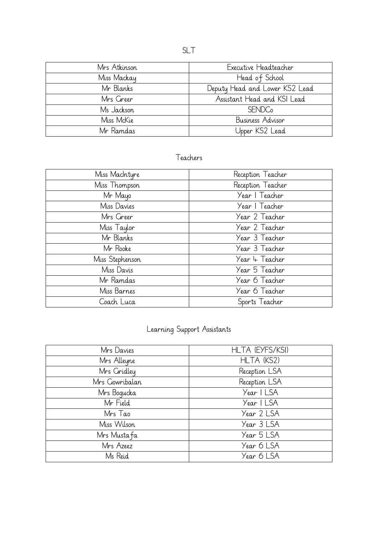| Mrs Atkinson | Executive Headteacher          |
|--------------|--------------------------------|
| Miss Mackay  | Head of School                 |
| Mr Blanks    | Deputy Head and Lower KS2 Lead |
| Mrs Greer    | Assistant Head and KSI Lead    |
| Ms Jackson   | <b>SENDC</b> <sub>o</sub>      |
| Miss McKie   | Business Advisor               |
| Mr Ramdas    | Upper KS2 Lead                 |

## Teachers

| Miss MacIntyre  | Reception Teacher |
|-----------------|-------------------|
| Miss Thompson   | Reception Teacher |
| Mr Mayo         | Year   Teacher    |
| Miss Davies     | Year   Teacher    |
| Mrs Greer       | Year 2 Teacher    |
| Miss Taylor     | Year 2 Teacher    |
| Mr Blanks       | Year 3 Teacher    |
| Mr Rooke        | Year 3 Teacher    |
| Miss Stephenson | Year 4 Teacher    |
| Miss Davis      | Year 5 Teacher    |
| Mr Ramdas       | Year 6 Teacher    |
| Miss Barnes     | Year 6 Teacher    |
| Coach Luca      | Sports Teacher    |

## Learning Support Assistants

| Mrs Davies     | HLTA (EYFS/KSI) |
|----------------|-----------------|
| Mrs Alleyne    | HLTA (KS2)      |
| Mrs Gridley    | Reception LSA   |
| Mrs Gowribalan | Reception LSA   |
| Mrs Boqucka    | Year I LSA      |
| Mr Field       | Year I LSA      |
| Mrs Tao        | Year 2 LSA      |
| Miss Wilson    | Year 3 LSA      |
| Mrs Mustafa    | Year 5 LSA      |
| Mrs Azeez      | Year 6 LSA      |
| Ms Reid        | Year 6 LSA      |